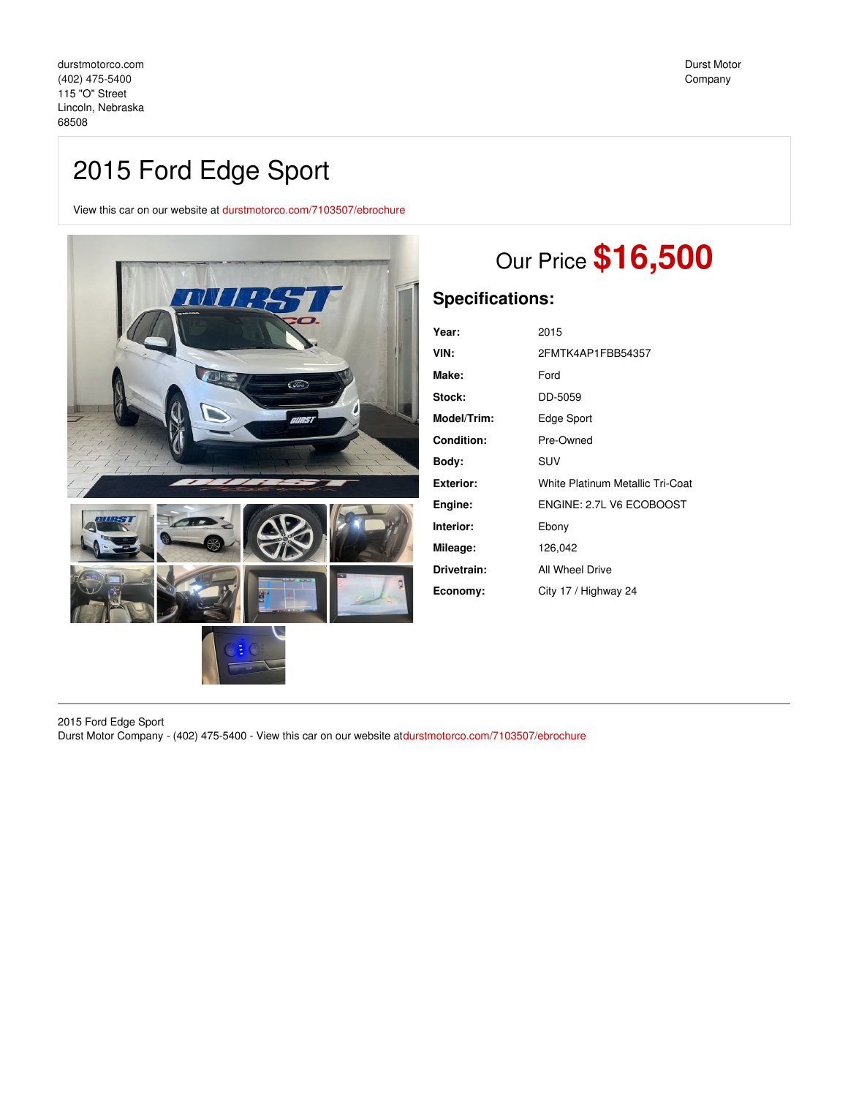# 2015 Ford Edge Sport

View this car on our website at [durstmotorco.com/7103507/ebrochure](https://durstmotorco.com/vehicle/7103507/2015-ford-edge-sport-lincoln-nebraska-68508/7103507/ebrochure)



# Our Price **\$16,500**

# **Specifications:**

| Year:       | 2015                             |
|-------------|----------------------------------|
| VIN:        | 2FMTK4AP1FBB54357                |
| Make:       | Ford                             |
| Stock:      | DD-5059                          |
| Model/Trim: | Edge Sport                       |
| Condition:  | Pre-Owned                        |
| Body:       | SUV                              |
| Exterior:   | White Platinum Metallic Tri-Coat |
| Engine:     | ENGINE: 2.7L V6 ECOBOOST         |
| Interior:   | Ebony                            |
| Mileage:    | 126,042                          |
| Drivetrain: | All Wheel Drive                  |
| Economy:    | City 17 / Highway 24             |
|             |                                  |

2015 Ford Edge Sport Durst Motor Company - (402) 475-5400 - View this car on our website at[durstmotorco.com/7103507/ebrochure](https://durstmotorco.com/vehicle/7103507/2015-ford-edge-sport-lincoln-nebraska-68508/7103507/ebrochure)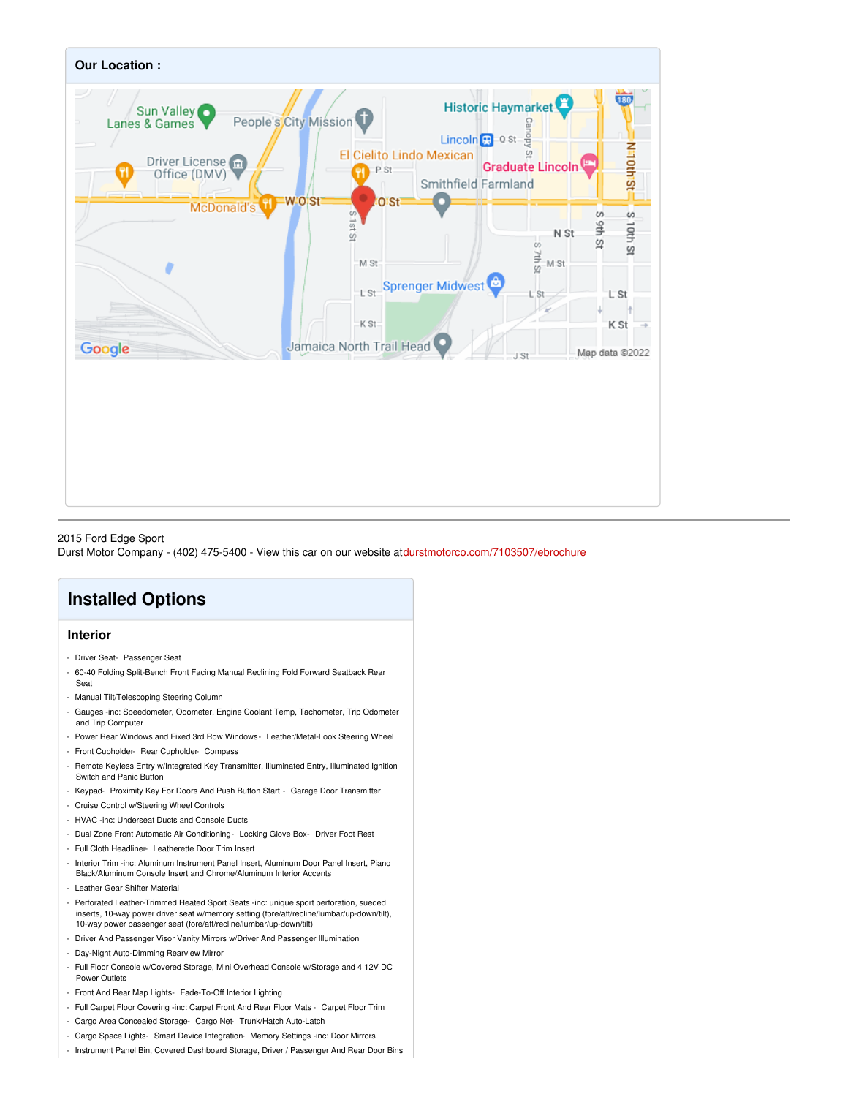

## 2015 Ford Edge Sport

Durst Motor Company - (402) 475-5400 - View this car on our website at[durstmotorco.com/7103507/ebrochure](https://durstmotorco.com/vehicle/7103507/2015-ford-edge-sport-lincoln-nebraska-68508/7103507/ebrochure)

# **Installed Options**

# **Interior**

- Driver Seat- Passenger Seat
- 60-40 Folding Split-Bench Front Facing Manual Reclining Fold Forward Seatback Rear Seat
- Manual Tilt/Telescoping Steering Column
- Gauges -inc: Speedometer, Odometer, Engine Coolant Temp, Tachometer, Trip Odometer and Trip Computer
- Power Rear Windows and Fixed 3rd Row Windows- Leather/Metal-Look Steering Wheel
- Front Cupholder- Rear Cupholder- Compass
- Remote Keyless Entry w/Integrated Key Transmitter, Illuminated Entry, Illuminated Ignition Switch and Panic Button
- Keypad- Proximity Key For Doors And Push Button Start Garage Door Transmitter
- Cruise Control w/Steering Wheel Controls
- HVAC -inc: Underseat Ducts and Console Ducts
- Dual Zone Front Automatic Air Conditioning- Locking Glove Box- Driver Foot Rest
- Full Cloth Headliner- Leatherette Door Trim Insert
- Interior Trim -inc: Aluminum Instrument Panel Insert, Aluminum Door Panel Insert, Piano Black/Aluminum Console Insert and Chrome/Aluminum Interior Accents
- Leather Gear Shifter Material
- Perforated Leather-Trimmed Heated Sport Seats -inc: unique sport perforation, sueded inserts, 10-way power driver seat w/memory setting (fore/aft/recline/lumbar/up-down/tilt), 10-way power passenger seat (fore/aft/recline/lumbar/up-down/tilt)
- Driver And Passenger Visor Vanity Mirrors w/Driver And Passenger Illumination
- Day-Night Auto-Dimming Rearview Mirror
- Full Floor Console w/Covered Storage, Mini Overhead Console w/Storage and 4 12V DC Power Outlets
- Front And Rear Map Lights- Fade-To-Off Interior Lighting
- Full Carpet Floor Covering -inc: Carpet Front And Rear Floor Mats Carpet Floor Trim
- Cargo Area Concealed Storage- Cargo Net- Trunk/Hatch Auto-Latch
- Cargo Space Lights- Smart Device Integration- Memory Settings -inc: Door Mirrors
- Instrument Panel Bin, Covered Dashboard Storage, Driver / Passenger And Rear Door Bins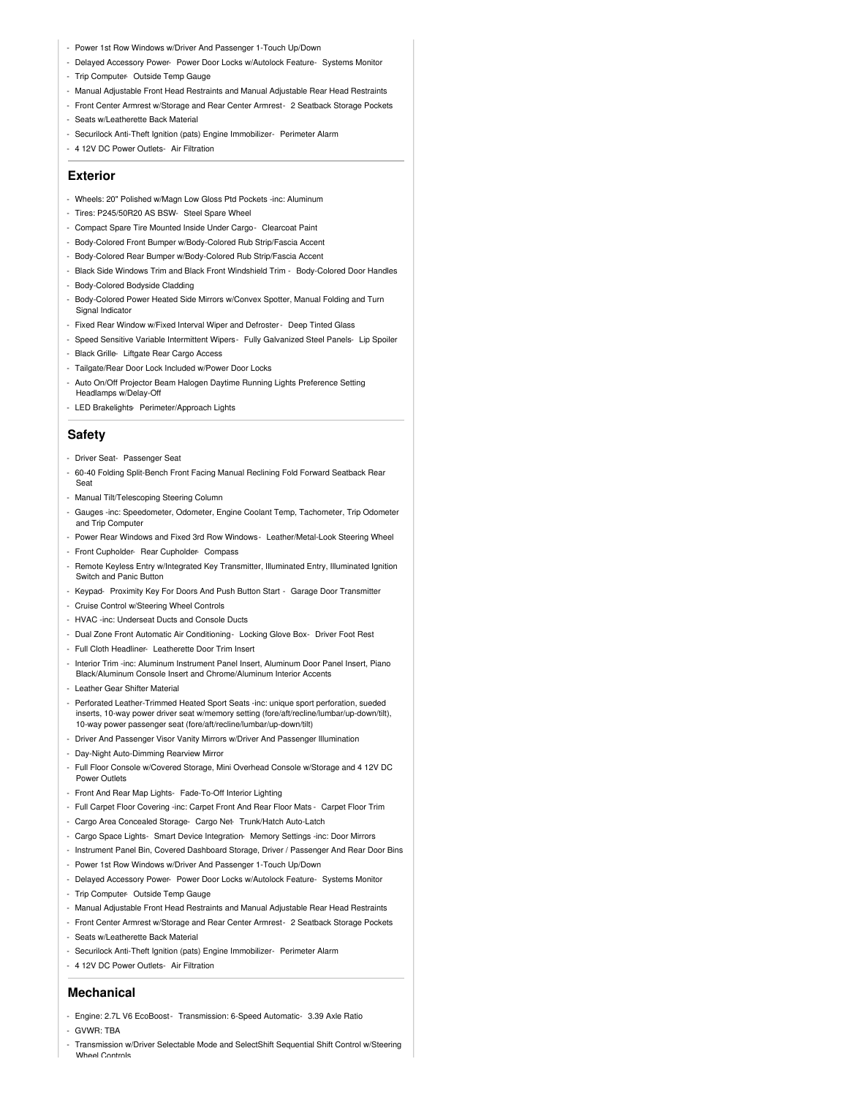- Power 1st Row Windows w/Driver And Passenger 1-Touch Up/Down
- Delayed Accessory Power- Power Door Locks w/Autolock Feature- Systems Monitor - Trip Computer- Outside Temp Gauge
- Manual Adjustable Front Head Restraints and Manual Adjustable Rear Head Restraints
- Front Center Armrest w/Storage and Rear Center Armrest- 2 Seatback Storage Pockets
- Seats w/Leatherette Back Material
- Securilock Anti-Theft Ignition (pats) Engine Immobilizer- Perimeter Alarm
- 4 12V DC Power Outlets- Air Filtration

## **Exterior**

- Wheels: 20" Polished w/Magn Low Gloss Ptd Pockets -inc: Aluminum
- Tires: P245/50R20 AS BSW- Steel Spare Wheel
- Compact Spare Tire Mounted Inside Under Cargo- Clearcoat Paint
- Body-Colored Front Bumper w/Body-Colored Rub Strip/Fascia Accent
- Body-Colored Rear Bumper w/Body-Colored Rub Strip/Fascia Accent
- Black Side Windows Trim and Black Front Windshield Trim Body-Colored Door Handles
- Body-Colored Bodyside Cladding
- Body-Colored Power Heated Side Mirrors w/Convex Spotter, Manual Folding and Turn Signal Indicator
- Fixed Rear Window w/Fixed Interval Wiper and Defroster- Deep Tinted Glass
- Speed Sensitive Variable Intermittent Wipers- Fully Galvanized Steel Panels- Lip Spoiler
- Black Grille- Liftgate Rear Cargo Access
- Tailgate/Rear Door Lock Included w/Power Door Locks
- Auto On/Off Projector Beam Halogen Daytime Running Lights Preference Setting Headlamps w/Delay-Off
- LED Brakelights- Perimeter/Approach Lights

## **Safety**

- Driver Seat- Passenger Seat
- 60-40 Folding Split-Bench Front Facing Manual Reclining Fold Forward Seatback Rear Seat
- Manual Tilt/Telescoping Steering Column
- Gauges -inc: Speedometer, Odometer, Engine Coolant Temp, Tachometer, Trip Odometer and Trip Computer
- Power Rear Windows and Fixed 3rd Row Windows- Leather/Metal-Look Steering Wheel - Front Cupholder- Rear Cupholder- Compass
- Remote Keyless Entry w/Integrated Key Transmitter, Illuminated Entry, Illuminated Ignition Switch and Panic Button
- Keypad- Proximity Key For Doors And Push Button Start Garage Door Transmitter
- Cruise Control w/Steering Wheel Controls
- HVAC -inc: Underseat Ducts and Console Ducts
- Dual Zone Front Automatic Air Conditioning- Locking Glove Box- Driver Foot Rest
- Full Cloth Headliner- Leatherette Door Trim Insert
- Interior Trim -inc: Aluminum Instrument Panel Insert, Aluminum Door Panel Insert, Piano Black/Aluminum Console Insert and Chrome/Aluminum Interior Accents
- Leather Gear Shifter Material
- Perforated Leather-Trimmed Heated Sport Seats -inc: unique sport perforation, sueded inserts, 10-way power driver seat w/memory setting (fore/aft/recline/lumbar/up-down/tilt), 10-way power passenger seat (fore/aft/recline/lumbar/up-down/tilt)
- Driver And Passenger Visor Vanity Mirrors w/Driver And Passenger Illumination
- Day-Night Auto-Dimming Rearview Mirror
- Full Floor Console w/Covered Storage, Mini Overhead Console w/Storage and 4 12V DC Power Outlets
- Front And Rear Map Lights- Fade-To-Off Interior Lighting
- Full Carpet Floor Covering -inc: Carpet Front And Rear Floor Mats Carpet Floor Trim
- Cargo Area Concealed Storage- Cargo Net- Trunk/Hatch Auto-Latch
- Cargo Space Lights- Smart Device Integration- Memory Settings -inc: Door Mirrors
- Instrument Panel Bin, Covered Dashboard Storage, Driver / Passenger And Rear Door Bins
- Power 1st Row Windows w/Driver And Passenger 1-Touch Up/Down
- Delayed Accessory Power- Power Door Locks w/Autolock Feature- Systems Monitor
- Trip Computer- Outside Temp Gauge
- Manual Adjustable Front Head Restraints and Manual Adjustable Rear Head Restraints
- Front Center Armrest w/Storage and Rear Center Armrest- 2 Seatback Storage Pockets
- Seats w/Leatherette Back Material
- Securilock Anti-Theft Ignition (pats) Engine Immobilizer- Perimeter Alarm
- 4 12V DC Power Outlets- Air Filtration

### **Mechanical**

- Engine: 2.7L V6 EcoBoost- Transmission: 6-Speed Automatic- 3.39 Axle Ratio - GVWR: TBA
- Transmission w/Driver Selectable Mode and SelectShift Sequential Shift Control w/Steering Wheel Controls